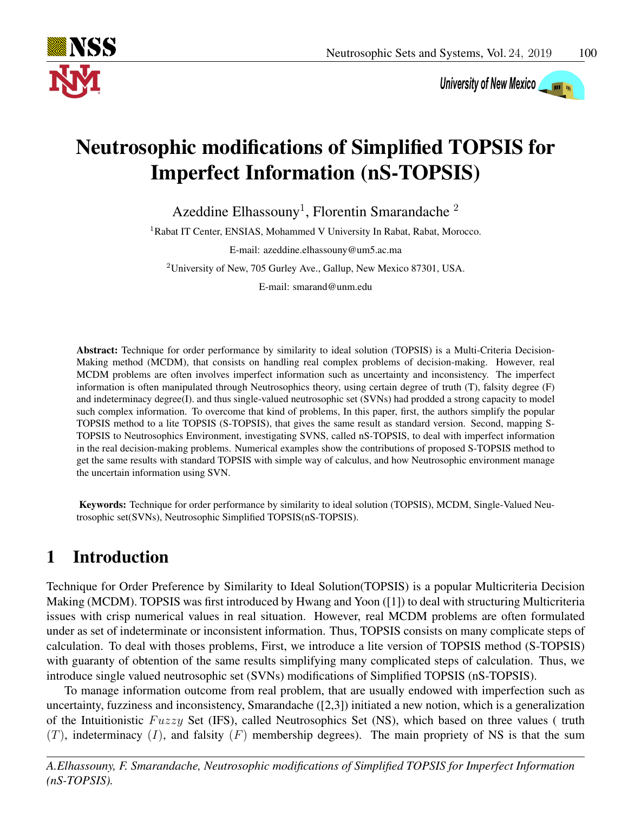

University of New Mexico

# Neutrosophic modifications of Simplified TOPSIS for Imperfect Information (nS-TOPSIS)

Azeddine Elhassouny<sup>1</sup>, Florentin Smarandache<sup>2</sup>

<sup>1</sup>Rabat IT Center, ENSIAS, Mohammed V University In Rabat, Rabat, Morocco.

E-mail: azeddine.elhassouny@um5.ac.ma

<sup>2</sup>University of New, 705 Gurley Ave., Gallup, New Mexico 87301, USA.

E-mail: smarand@unm.edu

Abstract: Technique for order performance by similarity to ideal solution (TOPSIS) is a Multi-Criteria Decision-Making method (MCDM), that consists on handling real complex problems of decision-making. However, real MCDM problems are often involves imperfect information such as uncertainty and inconsistency. The imperfect information is often manipulated through Neutrosophics theory, using certain degree of truth (T), falsity degree (F) and indeterminacy degree(I). and thus single-valued neutrosophic set (SVNs) had prodded a strong capacity to model such complex information. To overcome that kind of problems, In this paper, first, the authors simplify the popular TOPSIS method to a lite TOPSIS (S-TOPSIS), that gives the same result as standard version. Second, mapping S-TOPSIS to Neutrosophics Environment, investigating SVNS, called nS-TOPSIS, to deal with imperfect information in the real decision-making problems. Numerical examples show the contributions of proposed S-TOPSIS method to get the same results with standard TOPSIS with simple way of calculus, and how Neutrosophic environment manage the uncertain information using SVN.

Keywords: Technique for order performance by similarity to ideal solution (TOPSIS), MCDM, Single-Valued Neutrosophic set(SVNs), Neutrosophic Simplified TOPSIS(nS-TOPSIS).

# 1 Introduction

Technique for Order Preference by Similarity to Ideal Solution(TOPSIS) is a popular Multicriteria Decision Making (MCDM). TOPSIS was first introduced by Hwang and Yoon ([1]) to deal with structuring Multicriteria issues with crisp numerical values in real situation. However, real MCDM problems are often formulated under as set of indeterminate or inconsistent information. Thus, TOPSIS consists on many complicate steps of calculation. To deal with thoses problems, First, we introduce a lite version of TOPSIS method (S-TOPSIS) with guaranty of obtention of the same results simplifying many complicated steps of calculation. Thus, we introduce single valued neutrosophic set (SVNs) modifications of Simplified TOPSIS (nS-TOPSIS).

To manage information outcome from real problem, that are usually endowed with imperfection such as uncertainty, fuzziness and inconsistency, Smarandache ([2,3]) initiated a new notion, which is a generalization of the Intuitionistic  $Fuzzy$  Set (IFS), called Neutrosophics Set (NS), which based on three values ( truth  $(T)$ , indeterminacy  $(I)$ , and falsity  $(F)$  membership degrees). The main propriety of NS is that the sum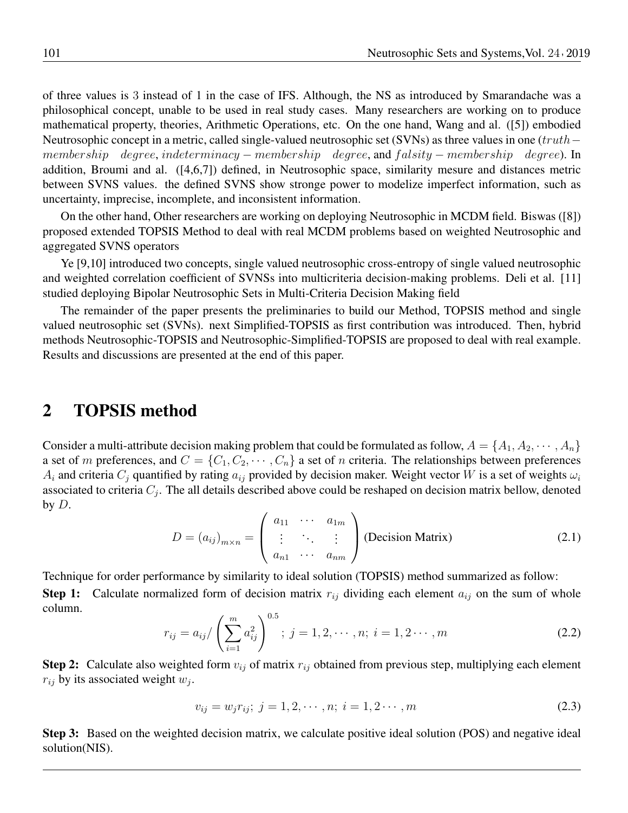of three values is 3 instead of 1 in the case of IFS. Although, the NS as introduced by Smarandache was a philosophical concept, unable to be used in real study cases. Many researchers are working on to produce mathematical property, theories, Arithmetic Operations, etc. On the one hand, Wang and al. ([5]) embodied Neutrosophic concept in a metric, called single-valued neutrosophic set (SVNs) as three values in one (truth– membership degree, indeterminacy – membership degree, and falsity – membership degree). In addition, Broumi and al. ([4,6,7]) defined, in Neutrosophic space, similarity mesure and distances metric between SVNS values. the defined SVNS show stronge power to modelize imperfect information, such as uncertainty, imprecise, incomplete, and inconsistent information.

On the other hand, Other researchers are working on deploying Neutrosophic in MCDM field. Biswas ([8]) proposed extended TOPSIS Method to deal with real MCDM problems based on weighted Neutrosophic and aggregated SVNS operators

Ye [9,10] introduced two concepts, single valued neutrosophic cross-entropy of single valued neutrosophic and weighted correlation coefficient of SVNSs into multicriteria decision-making problems. Deli et al. [11] studied deploying Bipolar Neutrosophic Sets in Multi-Criteria Decision Making field

The remainder of the paper presents the preliminaries to build our Method, TOPSIS method and single valued neutrosophic set (SVNs). next Simplified-TOPSIS as first contribution was introduced. Then, hybrid methods Neutrosophic-TOPSIS and Neutrosophic-Simplified-TOPSIS are proposed to deal with real example. Results and discussions are presented at the end of this paper.

### 2 TOPSIS method

Consider a multi-attribute decision making problem that could be formulated as follow,  $A = \{A_1, A_2, \dots, A_n\}$ a set of m preferences, and  $C = \{C_1, C_2, \cdots, C_n\}$  a set of n criteria. The relationships between preferences  $A_i$  and criteria  $C_i$  quantified by rating  $a_{ij}$  provided by decision maker. Weight vector W is a set of weights  $\omega_i$ associated to criteria  $C_j$ . The all details described above could be reshaped on decision matrix bellow, denoted by  $D$ .

$$
D = (a_{ij})_{m \times n} = \begin{pmatrix} a_{11} & \cdots & a_{1m} \\ \vdots & \ddots & \vdots \\ a_{n1} & \cdots & a_{nm} \end{pmatrix}
$$
 (Decision Matrix) (2.1)

Technique for order performance by similarity to ideal solution (TOPSIS) method summarized as follow: **Step 1:** Calculate normalized form of decision matrix  $r_{ij}$  dividing each element  $a_{ij}$  on the sum of whole column.

$$
r_{ij} = a_{ij} / \left(\sum_{i=1}^{m} a_{ij}^2\right)^{0.5}; \ j = 1, 2, \cdots, n; \ i = 1, 2 \cdots, m
$$
 (2.2)

**Step 2:** Calculate also weighted form  $v_{ij}$  of matrix  $r_{ij}$  obtained from previous step, multiplying each element  $r_{ij}$  by its associated weight  $w_j$ .

$$
v_{ij} = w_j r_{ij}; \ j = 1, 2, \cdots, n; \ i = 1, 2 \cdots, m
$$
\n(2.3)

Step 3: Based on the weighted decision matrix, we calculate positive ideal solution (POS) and negative ideal solution(NIS).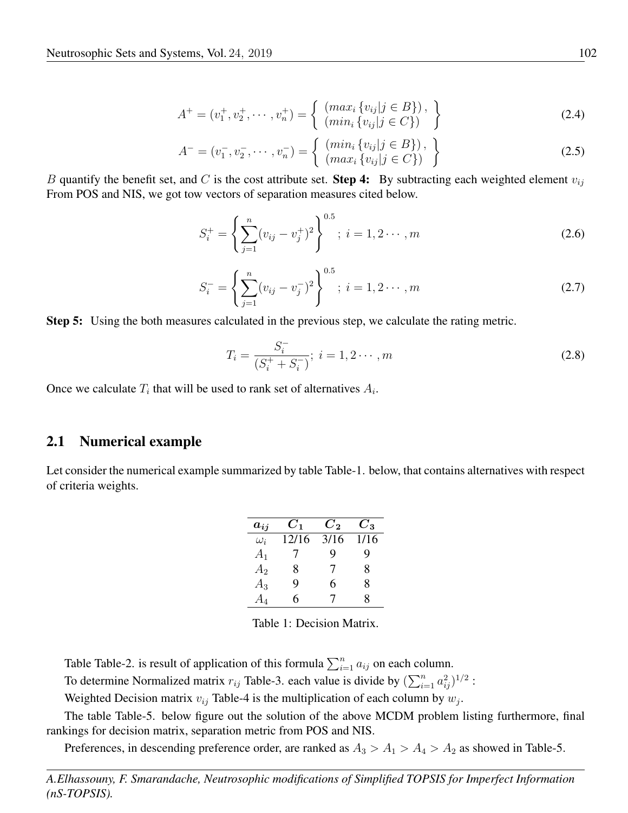$$
A^{+} = (v_1^{+}, v_2^{+}, \cdots, v_n^{+}) = \begin{cases} (max_i \{v_{ij} | j \in B\}), \\ (min_i \{v_{ij} | j \in C\}) \end{cases}
$$
 (2.4)

$$
A^{-} = (v_1^{-}, v_2^{-}, \cdots, v_n^{-}) = \left\{ \begin{array}{c} (min_i \{v_{ij} | j \in B\}), \\ (max_i \{v_{ij} | j \in C\}) \end{array} \right\}
$$
(2.5)

B quantify the benefit set, and C is the cost attribute set. Step 4: By subtracting each weighted element  $v_{ij}$ From POS and NIS, we got tow vectors of separation measures cited below.

$$
S_i^+ = \left\{ \sum_{j=1}^n (v_{ij} - v_j^+)^2 \right\}^{0.5}; \ i = 1, 2 \cdots, m \tag{2.6}
$$

$$
S_i^- = \left\{ \sum_{j=1}^n (v_{ij} - v_j^-)^2 \right\}^{0.5}; i = 1, 2 \cdots, m
$$
 (2.7)

Step 5: Using the both measures calculated in the previous step, we calculate the rating metric.

$$
T_i = \frac{S_i^-}{(S_i^+ + S_i^-)}; \ i = 1, 2 \cdots, m
$$
\n(2.8)

Once we calculate  $T_i$  that will be used to rank set of alternatives  $A_i$ .

#### 2.1 Numerical example

Let consider the numerical example summarized by table Table-1. below, that contains alternatives with respect of criteria weights.

| $\bm{a_{ii}}$ | $\boldsymbol{C_1}$ | $\bm{C_2}$ | $C_{3}$ |
|---------------|--------------------|------------|---------|
| $\omega_i$    | 12/16              | 3/16       | 1/16    |
| $A_1$         |                    | q          | 9       |
| $A_2$         | 8                  | 7          | 8       |
| $A_3$         | Q                  | 6          | 8       |
| $A_4\,$       | 6                  | 7          | 8       |

Table 1: Decision Matrix.

Table Table-2. is result of application of this formula  $\sum_{i=1}^{n} a_{ij}$  on each column.

To determine Normalized matrix  $r_{ij}$  Table-3. each value is divide by  $(\sum_{i=1}^{n} a_{ij}^2)^{1/2}$ :

Weighted Decision matrix  $v_{ij}$  Table-4 is the multiplication of each column by  $w_j$ .

The table Table-5. below figure out the solution of the above MCDM problem listing furthermore, final rankings for decision matrix, separation metric from POS and NIS.

Preferences, in descending preference order, are ranked as  $A_3 > A_1 > A_4 > A_2$  as showed in Table-5.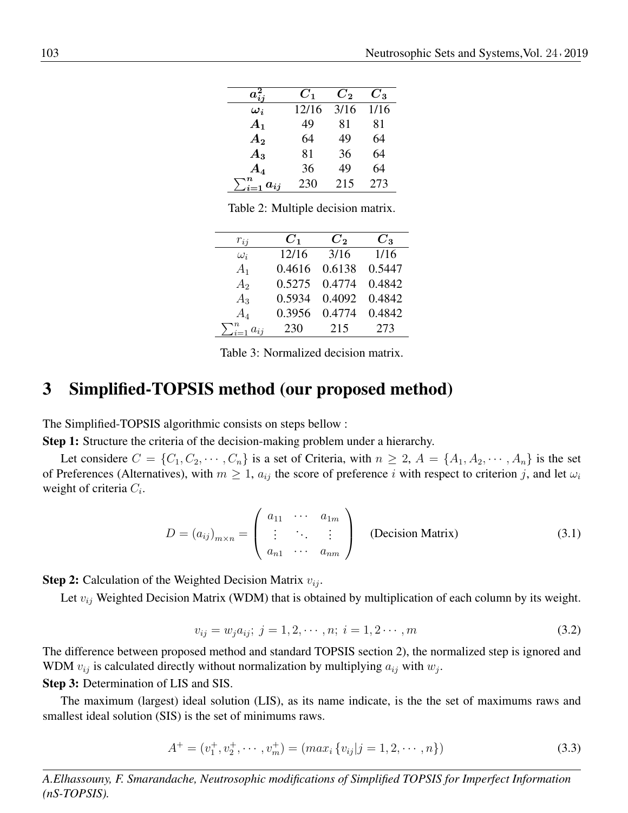| $a_{ij}^2$              | $C_1$ | $\boldsymbol{C_2}$ | $C_{3}$ |
|-------------------------|-------|--------------------|---------|
| $\boldsymbol{\omega_i}$ | 12/16 | 3/16               | 1/16    |
| $A_1$                   | 49    | 81                 | 81      |
| $A_2$                   | 64    | 49                 | 64      |
| $A_3$                   | 81    | 36                 | 64      |
| $\boldsymbol{A_4}$      | 36    | 49                 | 64      |
| $\sum_{i=1}^n a_{ij}$   | 230   | 215                | 273     |

Table 2: Multiple decision matrix.

| $r_{ij}$                          | $C_{1}$ | $C_{2}$ | $C_3$  |
|-----------------------------------|---------|---------|--------|
| $\omega_i$                        | 12/16   | 3/16    | 1/16   |
| $A_1$                             | 0.4616  | 0.6138  | 0.5447 |
| A <sub>2</sub>                    | 0.5275  | 0.4774  | 0.4842 |
| $A_3$                             | 0.5934  | 0.4092  | 0.4842 |
| $A_4$                             | 0.3956  | 0.4774  | 0.4842 |
| $\sum_{i=1}^n \underline{a_{ij}}$ | 230     | 215     | 273    |

Table 3: Normalized decision matrix.

#### 3 Simplified-TOPSIS method (our proposed method)

The Simplified-TOPSIS algorithmic consists on steps bellow :

Step 1: Structure the criteria of the decision-making problem under a hierarchy.

Let considere  $C = \{C_1, C_2, \cdots, C_n\}$  is a set of Criteria, with  $n \geq 2$ ,  $A = \{A_1, A_2, \cdots, A_n\}$  is the set of Preferences (Alternatives), with  $m \ge 1$ ,  $a_{ij}$  the score of preference i with respect to criterion j, and let  $\omega_i$ weight of criteria  $C_i$ .

$$
D = (a_{ij})_{m \times n} = \begin{pmatrix} a_{11} & \cdots & a_{1m} \\ \vdots & \ddots & \vdots \\ a_{n1} & \cdots & a_{nm} \end{pmatrix}
$$
 (Decision Matrix) (3.1)

**Step 2:** Calculation of the Weighted Decision Matrix  $v_{ij}$ .

Let  $v_{ij}$  Weighted Decision Matrix (WDM) that is obtained by multiplication of each column by its weight.

$$
v_{ij} = w_j a_{ij}; \ j = 1, 2, \cdots, n; \ i = 1, 2 \cdots, m
$$
\n(3.2)

The difference between proposed method and standard TOPSIS section 2), the normalized step is ignored and WDM  $v_{ij}$  is calculated directly without normalization by multiplying  $a_{ij}$  with  $w_j$ .

Step 3: Determination of LIS and SIS.

The maximum (largest) ideal solution (LIS), as its name indicate, is the the set of maximums raws and smallest ideal solution (SIS) is the set of minimums raws.

$$
A^{+} = (v_1^{+}, v_2^{+}, \cdots, v_m^{+}) = (max_i \{v_{ij} | j = 1, 2, \cdots, n\})
$$
\n(3.3)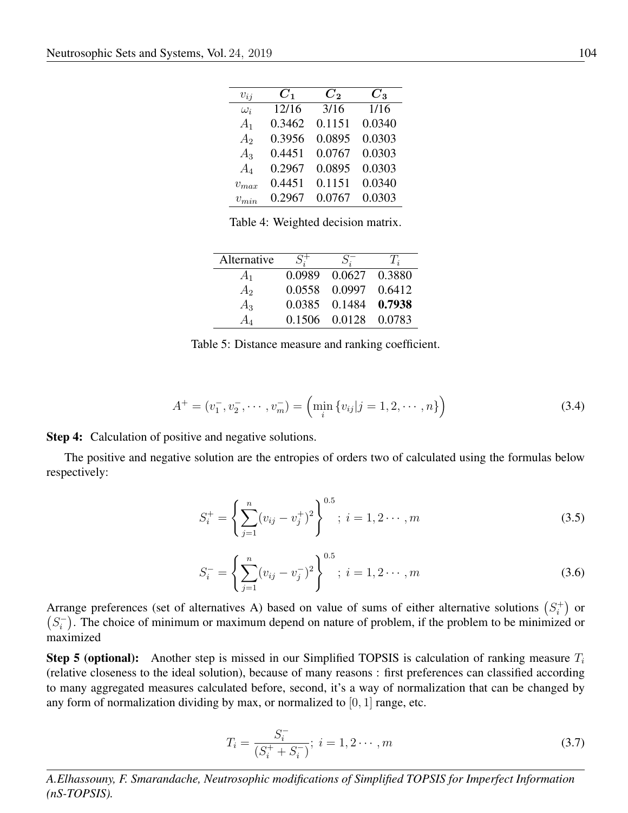| $v_{ij}$       | $C_1$  | $C_{2}$ | $C_{3}$ |
|----------------|--------|---------|---------|
| $\omega_i$     | 12/16  | 3/16    | 1/16    |
| $A_1$          | 0.3462 | 0.1151  | 0.0340  |
| A <sub>2</sub> | 0.3956 | 0.0895  | 0.0303  |
| $A_3$          | 0.4451 | 0.0767  | 0.0303  |
| $A_4$          | 0.2967 | 0.0895  | 0.0303  |
| $v_{max}$      | 0.4451 | 0.1151  | 0.0340  |
| $v_{min}$      | 0.2967 | 0.0767  | 0.0303  |

Table 4: Weighted decision matrix.

| Alternative    | $S^{\pm}$ | $S_{\tau}$ .         | $T_{\dot{a}}$ |
|----------------|-----------|----------------------|---------------|
| $A_1$          | 0.0989    | 0.0627               | 0.3880        |
| A <sub>2</sub> | 0.0558    | 0.0997 0.6412        |               |
| $A_3$          | 0.0385    | 0.1484 0.7938        |               |
|                |           | 0.1506 0.0128 0.0783 |               |

Table 5: Distance measure and ranking coefficient.

$$
A^{+} = (v_{1}^{-}, v_{2}^{-}, \cdots, v_{m}^{-}) = (\min_{i} \{v_{ij} | j = 1, 2, \cdots, n\})
$$
\n(3.4)

Step 4: Calculation of positive and negative solutions.

The positive and negative solution are the entropies of orders two of calculated using the formulas below respectively:

$$
S_i^+ = \left\{ \sum_{j=1}^n (v_{ij} - v_j^+)^2 \right\}^{0.5}; i = 1, 2 \cdots, m
$$
 (3.5)

$$
S_i^- = \left\{ \sum_{j=1}^n (v_{ij} - v_j^-)^2 \right\}^{0.5}; \ i = 1, 2 \cdots, m \tag{3.6}
$$

Arrange preferences (set of alternatives A) based on value of sums of either alternative solutions  $(S_i^+)$  $\binom{+}{i}$  or  $(S_i^-)$  $\binom{n}{i}$ . The choice of minimum or maximum depend on nature of problem, if the problem to be minimized or maximized

**Step 5 (optional):** Another step is missed in our Simplified TOPSIS is calculation of ranking measure  $T_i$ (relative closeness to the ideal solution), because of many reasons : first preferences can classified according to many aggregated measures calculated before, second, it's a way of normalization that can be changed by any form of normalization dividing by max, or normalized to  $[0, 1]$  range, etc.

$$
T_i = \frac{S_i^-}{(S_i^+ + S_i^-)}; \ i = 1, 2 \cdots, m
$$
\n(3.7)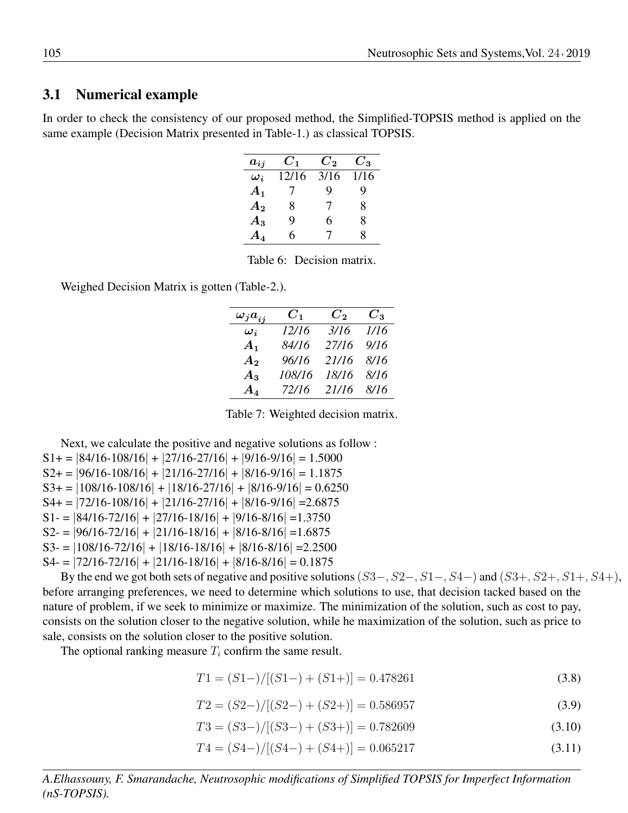#### 3.1 Numerical example

In order to check the consistency of our proposed method, the Simplified-TOPSIS method is applied on the same example (Decision Matrix presented in Table-1.) as classical TOPSIS.

| $a_{ij}$                | $C_1$ | $\boldsymbol{C_2}$ | $C_{3}$ |
|-------------------------|-------|--------------------|---------|
| $\boldsymbol{\omega}_i$ | 12/16 | 3/16               | 1/16    |
| $A_1$                   |       | 9                  | 9       |
| $\boldsymbol{A_2}$      | 8     | 7                  | 8       |
| $A_3$                   | 9     | 6                  | 8       |
| $\boldsymbol{A_4}$      | 6     | 7                  | 8       |

Table 6: Decision matrix.

Weighed Decision Matrix is gotten (Table-2.).

| $\omega_j a_{ij}$       | $C_{1}$ | $C_{2}$ | $C_{3}$ |
|-------------------------|---------|---------|---------|
| $\boldsymbol{\omega_i}$ | 12/16   | 3/16    | 1/16    |
| $A_1$                   | 84/16   | 27/16   | 9/16    |
| $A_{2}$                 | 96/16   | 21/16   | 8/16    |
| $A_3$                   | 108/16  | 18/16   | 8/16    |
| $A_4$                   | 72/16   | 21/16   | 8/16    |

Table 7: Weighted decision matrix.

Next, we calculate the positive and negative solutions as follow :  $S1+=$   $|84/16-108/16|$  +  $|27/16-27/16|$  +  $|9/16-9/16|$  = 1.5000  $S2+ = |96/16-108/16| + |21/16-27/16| + |8/16-9/16| = 1.1875$  $S3+ = |108/16-108/16| + |18/16-27/16| + |8/16-9/16| = 0.6250$  $S4+ = |72/16-108/16| + |21/16-27/16| + |8/16-9/16| = 2.6875$  $S1 = |84/16-72/16| + |27/16-18/16| + |9/16-8/16| = 1.3750$  $S2 = |96/16-72/16| + |21/16-18/16| + |8/16-8/16| = 1.6875$  $S3 = |108/16-72/16| + |18/16-18/16| + |8/16-8/16| = 2.2500$  $S4 = |72/16-72/16| + |21/16-18/16| + |8/16-8/16| = 0.1875$ 

By the end we got both sets of negative and positive solutions  $(S3-, S2-, S1-, S4-)$  and  $(S3+, S2+, S1+, S4+)$ , before arranging preferences, we need to determine which solutions to use, that decision tacked based on the nature of problem, if we seek to minimize or maximize. The minimization of the solution, such as cost to pay, consists on the solution closer to the negative solution, while he maximization of the solution, such as price to sale, consists on the solution closer to the positive solution.

The optional ranking measure  $T_i$  confirm the same result.

 $T1 = (S1-) / [(S1-) + (S1+)]= 0.478261$  (3.8)

$$
T2 = (S2-) / [(S2-) + (S2+)]= 0.586957
$$
\n(3.9)

$$
T3 = (S3-)/[(S3-) + (S3+)] = 0.782609
$$
\n(3.10)

$$
T4 = (S4-)/[(S4-) + (S4+)]= 0.065217
$$
\n(3.11)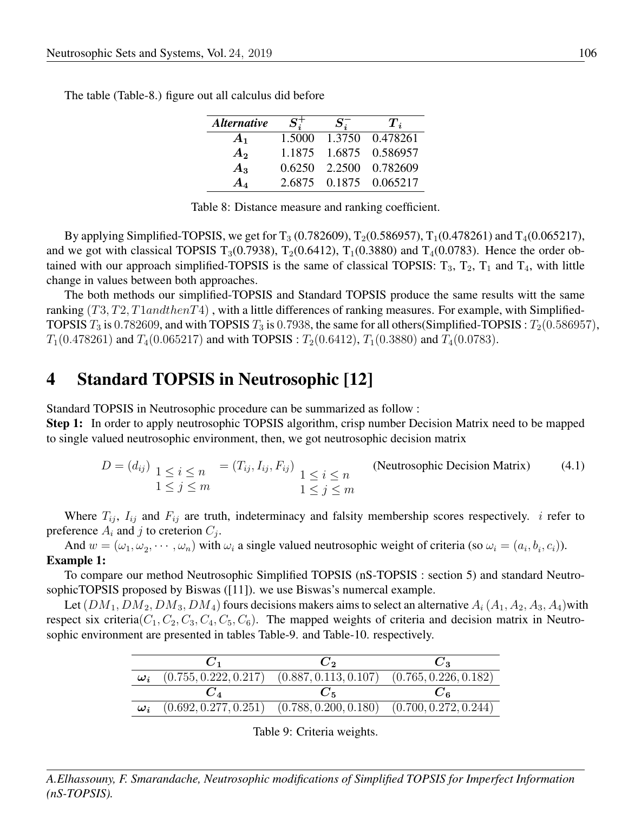| <b>Alternative</b> | $S^{\pm}_{i}$ | $S^-$  | $T_i$           |
|--------------------|---------------|--------|-----------------|
| $A_1$              | 1.5000        |        | 1.3750 0.478261 |
| $A_{2}$            | 1.1875        |        | 1.6875 0.586957 |
| $A_3$              | 0.6250        | 2.2500 | 0.782609        |
|                    | 2.6875        |        | 0.1875 0.065217 |

The table (Table-8.) figure out all calculus did before

|  | Table 8: Distance measure and ranking coefficient. |  |
|--|----------------------------------------------------|--|
|  |                                                    |  |

By applying Simplified-TOPSIS, we get for  $T_3$  (0.782609),  $T_2(0.586957)$ ,  $T_1(0.478261)$  and  $T_4(0.065217)$ , and we got with classical TOPSIS  $T_3(0.7938)$ ,  $T_2(0.6412)$ ,  $T_1(0.3880)$  and  $T_4(0.0783)$ . Hence the order obtained with our approach simplified-TOPSIS is the same of classical TOPSIS:  $T_3$ ,  $T_2$ ,  $T_1$  and  $T_4$ , with little change in values between both approaches.

The both methods our simplified-TOPSIS and Standard TOPSIS produce the same results witt the same ranking  $(T3, T2, T1 and then T4)$ , with a little differences of ranking measures. For example, with Simplified-TOPSIS  $T_3$  is 0.782609, and with TOPSIS  $T_3$  is 0.7938, the same for all others(Simplified-TOPSIS :  $T_2(0.586957)$ ,  $T_1(0.478261)$  and  $T_4(0.065217)$  and with TOPSIS :  $T_2(0.6412)$ ,  $T_1(0.3880)$  and  $T_4(0.0783)$ .

### 4 Standard TOPSIS in Neutrosophic [12]

Standard TOPSIS in Neutrosophic procedure can be summarized as follow : Step 1: In order to apply neutrosophic TOPSIS algorithm, crisp number Decision Matrix need to be mapped

to single valued neutrosophic environment, then, we got neutrosophic decision matrix

$$
D = (d_{ij}) \underbrace{1 \le i \le n}_{1 \le j \le m} = (T_{ij}, I_{ij}, F_{ij}) \underbrace{1 \le i \le n}_{1 \le j \le m}
$$
 (Neutrosophic Decision Matrix) (4.1)

Where  $T_{ij}$ ,  $I_{ij}$  and  $F_{ij}$  are truth, indeterminacy and falsity membership scores respectively. *i* refer to preference  $A_i$  and j to creterion  $C_j$ .

And  $w = (\omega_1, \omega_2, \cdots, \omega_n)$  with  $\omega_i$  a single valued neutrosophic weight of criteria (so  $\omega_i = (a_i, b_i, c_i)$ ). Example 1:

To compare our method Neutrosophic Simplified TOPSIS (nS-TOPSIS : section 5) and standard NeutrosophicTOPSIS proposed by Biswas ([11]). we use Biswas's numercal example.

Let  $(DM_1, DM_2, DM_3, DM_4)$  fours decisions makers aims to select an alternative  $A_i(A_1, A_2, A_3, A_4)$  with respect six criteria( $C_1, C_2, C_3, C_4, C_5, C_6$ ). The mapped weights of criteria and decision matrix in Neutrosophic environment are presented in tables Table-9. and Table-10. respectively.

|                                        | しっ                                                                      |  |
|----------------------------------------|-------------------------------------------------------------------------|--|
| $\boldsymbol{\omega}_i$                | $(0.755, 0.222, 0.217)$ $(0.887, 0.113, 0.107)$ $(0.765, 0.226, 0.182)$ |  |
|                                        | $C_{\rm K}$                                                             |  |
| $\boldsymbol{\omega}_{\boldsymbol{i}}$ | $(0.692, 0.277, 0.251)$ $(0.788, 0.200, 0.180)$ $(0.700, 0.272, 0.244)$ |  |

|  |  | Table 9: Criteria weights. |
|--|--|----------------------------|
|--|--|----------------------------|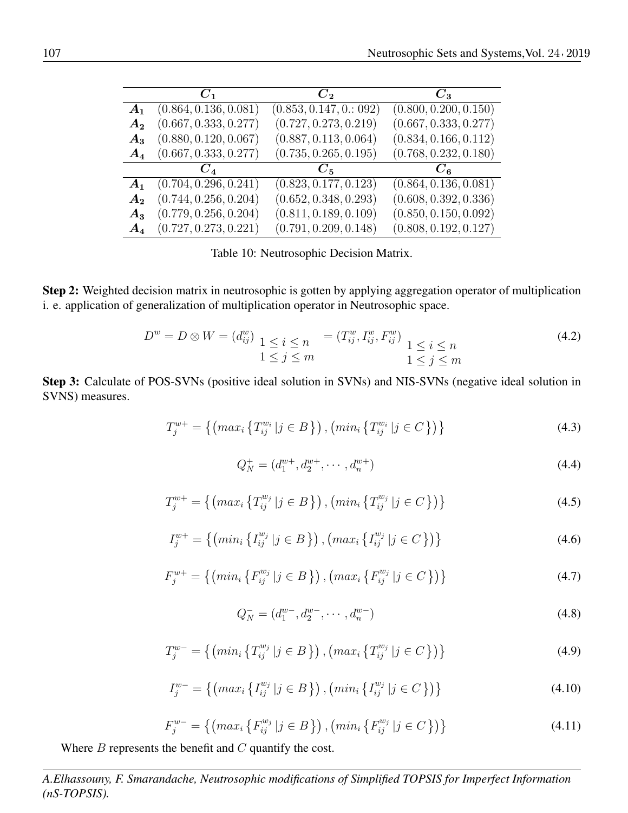|                | $C_1$                 | $\bm{C}$                | $C_{\mathcal{P}}$     |
|----------------|-----------------------|-------------------------|-----------------------|
| $A_1$          | (0.864, 0.136, 0.081) | (0.853, 0.147, 0.: 092) | (0.800, 0.200, 0.150) |
| $A_{2}$        | (0.667, 0.333, 0.277) | (0.727, 0.273, 0.219)   | (0.667, 0.333, 0.277) |
| $A_3$          | (0.880, 0.120, 0.067) | (0.887, 0.113, 0.064)   | (0.834, 0.166, 0.112) |
| $A_4$          | (0.667, 0.333, 0.277) | (0.735, 0.265, 0.195)   | (0.768, 0.232, 0.180) |
|                |                       | $C_{\rm 5}$             |                       |
| $A_1$          | (0.704, 0.296, 0.241) | (0.823, 0.177, 0.123)   | (0.864, 0.136, 0.081) |
| A <sub>2</sub> | (0.744, 0.256, 0.204) | (0.652, 0.348, 0.293)   | (0.608, 0.392, 0.336) |
| $A_3$          | (0.779, 0.256, 0.204) | (0.811, 0.189, 0.109)   | (0.850, 0.150, 0.092) |
| $A_4$          | (0.727, 0.273, 0.221) | (0.791, 0.209, 0.148)   | (0.808, 0.192, 0.127) |

Table 10: Neutrosophic Decision Matrix.

Step 2: Weighted decision matrix in neutrosophic is gotten by applying aggregation operator of multiplication i. e. application of generalization of multiplication operator in Neutrosophic space.

$$
D^{w} = D \otimes W = (d_{ij}^{w}) \underbrace{1 \leq i \leq n}_{1 \leq j \leq m} = (T_{ij}^{w}, I_{ij}^{w}, F_{ij}^{w}) \underbrace{1 \leq i \leq n}_{1 \leq j \leq m}
$$
\n(4.2)

Step 3: Calculate of POS-SVNs (positive ideal solution in SVNs) and NIS-SVNs (negative ideal solution in SVNS) measures.

$$
T_j^{w+} = \{ \left( \max_i \left\{ T_{ij}^{w_i} \middle| j \in B \right\} \right), \left( \min_i \left\{ T_{ij}^{w_i} \middle| j \in C \right\} \right) \} \tag{4.3}
$$

$$
Q_N^+ = (d_1^{w+}, d_2^{w+}, \cdots, d_n^{w+})
$$
\n(4.4)

$$
T_j^{w+} = \{ \left( \max_i \left\{ T_{ij}^{w_j} \middle| j \in B \right\} \right), \left( \min_i \left\{ T_{ij}^{w_j} \middle| j \in C \right\} \right) \} \tag{4.5}
$$

$$
I_j^{w+} = \{ \left( \min_i \{ I_{ij}^{w_j} \mid j \in B \} \right), \left( \max_i \{ I_{ij}^{w_j} \mid j \in C \} \right) \} \tag{4.6}
$$

$$
F_j^{w+} = \{ \left( \min_i \left\{ F_{ij}^{w_j} \middle| j \in B \right\} \right), \left( \max_i \left\{ F_{ij}^{w_j} \middle| j \in C \right\} \right) \} \tag{4.7}
$$

$$
Q_N^- = (d_1^{w-}, d_2^{w-}, \cdots, d_n^{w-})
$$
\n(4.8)

$$
T_j^{w-} = \{ \left( \min_i \left\{ T_{ij}^{w_j} \middle| j \in B \right\} \right), \left( \max_i \left\{ T_{ij}^{w_j} \middle| j \in C \right\} \right) \} \tag{4.9}
$$

$$
I_j^{w-} = \{ \left( \max_i \left\{ I_{ij}^{w_j} \middle| j \in B \right\} \right), \left( \min_i \left\{ I_{ij}^{w_j} \middle| j \in C \right\} \right) \} \tag{4.10}
$$

$$
F_j^{w-} = \{ \left( \max_i \left\{ F_{ij}^{w_j} \middle| j \in B \right\} \right), \left( \min_i \left\{ F_{ij}^{w_j} \middle| j \in C \right\} \right) \} \tag{4.11}
$$

Where  $B$  represents the benefit and  $C$  quantify the cost.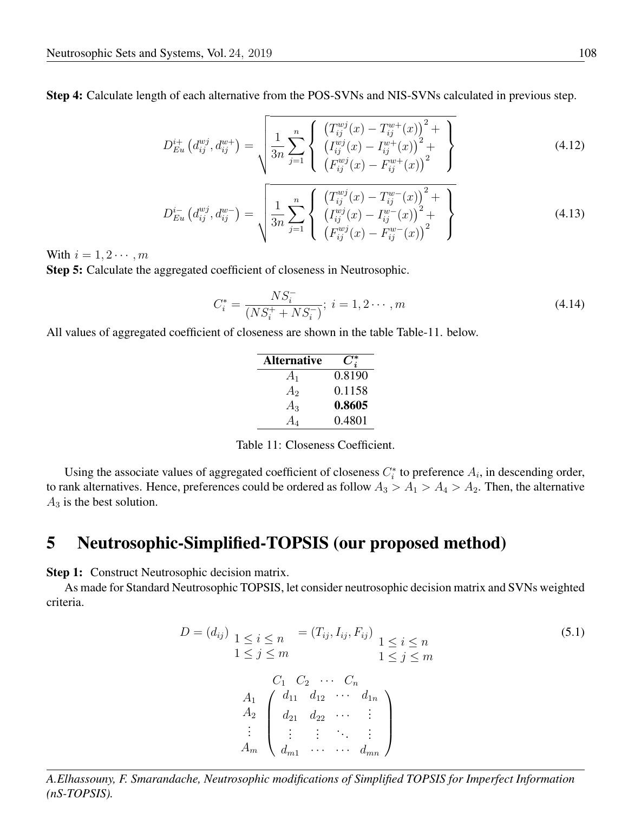Step 4: Calculate length of each alternative from the POS-SVNs and NIS-SVNs calculated in previous step.

$$
D_{Eu}^{i+}\left(d_{ij}^{wj}, d_{ij}^{w+}\right) = \sqrt{\frac{1}{3n} \sum_{j=1}^{n} \left\{ \begin{array}{l} \left(T_{ij}^{wj}(x) - T_{ij}^{w+}(x)\right)^{2} + \\ \left(T_{ij}^{wj}(x) - T_{ij}^{w+}(x)\right)^{2} + \\ \left(F_{ij}^{wj}(x) - F_{ij}^{w+}(x)\right)^{2} \end{array} \right\}}
$$
(4.12)

$$
D_{Eu}^{i-}\left(d_{ij}^{wj}, d_{ij}^{w-}\right) = \sqrt{\frac{1}{3n} \sum_{j=1}^{n} \left\{ \frac{\left(T_{ij}^{wj}(x) - T_{ij}^{w-}(x)\right)^2 + \left(T_{ij}^{w-}(x) - T_{ij}^{w-}(x)\right)^2 + \left(T_{ij}^{w-}(x) - T_{ij}^{w-}(x)\right)^2 + \left(T_{ij}^{w-}(x) - T_{ij}^{w-}(x)\right)^2}\right\}}
$$
(4.13)

With  $i = 1, 2 \cdots, m$ 

Step 5: Calculate the aggregated coefficient of closeness in Neutrosophic.

$$
C_i^* = \frac{NS_i^-}{(NS_i^+ + NS_i^-)}; \ i = 1, 2 \cdots, m
$$
\n(4.14)

All values of aggregated coefficient of closeness are shown in the table Table-11. below.

| <b>Alternative</b> |        |
|--------------------|--------|
| $A_1$              | 0.8190 |
| $A_2$              | 0.1158 |
| $A_3$              | 0.8605 |
|                    | 0.4801 |

Table 11: Closeness Coefficient.

Using the associate values of aggregated coefficient of closeness  $C_i^*$  to preference  $A_i$ , in descending order, to rank alternatives. Hence, preferences could be ordered as follow  $A_3 > A_1 > A_4 > A_2$ . Then, the alternative  $A_3$  is the best solution.

### 5 Neutrosophic-Simplified-TOPSIS (our proposed method)

**Step 1:** Construct Neutrosophic decision matrix.

As made for Standard Neutrosophic TOPSIS, let consider neutrosophic decision matrix and SVNs weighted criteria.

$$
D = (d_{ij}) \, 1 \leq i \leq n \qquad (5.1)
$$
\n
$$
1 \leq j \leq m \qquad 1 \leq j \leq m
$$
\n
$$
C_1 \, C_2 \, \cdots \, C_n
$$
\n
$$
A_1 \, \begin{pmatrix} d_{11} & d_{12} & \cdots & d_{1n} \\ d_{21} & d_{22} & \cdots & \vdots \\ \vdots & \vdots & \ddots & \vdots \\ d_m & d_{m1} & \cdots & \cdots & d_{mn} \end{pmatrix}
$$
\n
$$
(5.1)
$$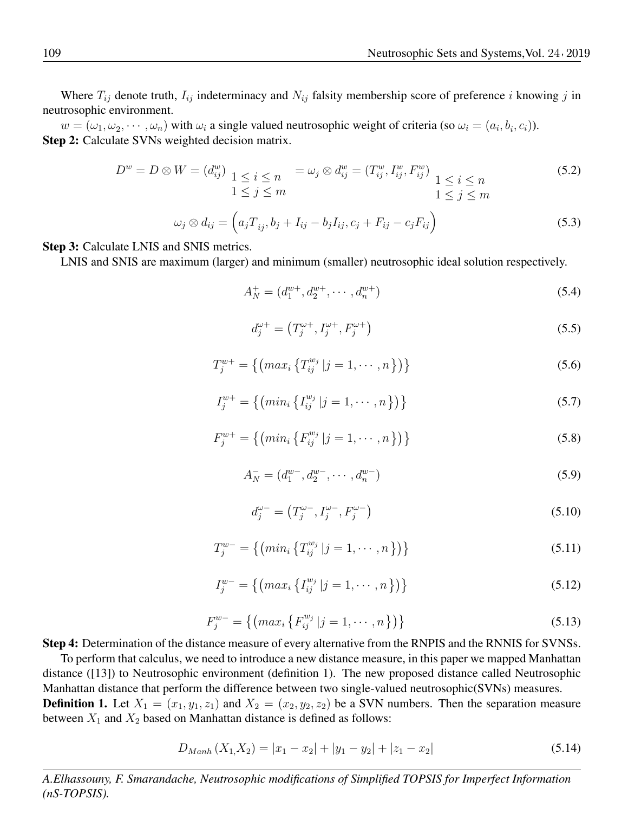Where  $T_{ij}$  denote truth,  $I_{ij}$  indeterminacy and  $N_{ij}$  falsity membership score of preference i knowing j in neutrosophic environment.

 $w = (\omega_1, \omega_2, \cdots, \omega_n)$  with  $\omega_i$  a single valued neutrosophic weight of criteria (so  $\omega_i = (a_i, b_i, c_i)$ ). Step 2: Calculate SVNs weighted decision matrix.

$$
D^{w} = D \otimes W = (d_{ij}^{w}) \underbrace{1 \le i \le n}_{1 \le j \le m} = \omega_{j} \otimes d_{ij}^{w} = (T_{ij}^{w}, I_{ij}^{w}, F_{ij}^{w}) \underbrace{1 \le i \le n}_{1 \le j \le m} \tag{5.2}
$$
\n
$$
\omega_{i} \otimes d_{ij} = (a_{ij}T - b_{ij} + I_{ij} - b_{ij}I_{ij} + g_{ij}F_{ij} + g_{ij}F_{ij} + g_{ij}F_{ij} + g_{ij}F_{ij} + g_{ij}F_{ij} + g_{ij}F_{ij} + g_{ij}F_{ij} + g_{ij}F_{ij} + g_{ij}F_{ij} + g_{ij}F_{ij} + g_{ij}F_{ij} + g_{ij}F_{ij} + g_{ij}F_{ij} + g_{ij}F_{ij} + g_{ij}F_{ij} + g_{ij}F_{ij} + g_{ij}F_{ij} + g_{ij}F_{ij} + g_{ij}F_{ij} + g_{ij}F_{ij} + g_{ij}F_{ij} + g_{ij}F_{ij} + g_{ij}F_{ij} + g_{ij}F_{ij} + g_{ij}F_{ij} + g_{ij}F_{ij} + g_{ij}F_{ij} + g_{ij}F_{ij} + g_{ij}F_{ij} + g_{ij}F_{ij} + g_{ij}F_{ij} + g_{ij}F_{ij} + g_{ij}F_{ij} + g_{ij}F_{ij} + g_{ij}F_{ij} + g_{ij}F_{ij} + g_{ij}F_{ij} + g_{ij}F_{ij} + g_{ij}F_{ij} + g_{ij}F_{ij} + g_{ij}F_{ij} + g_{ij}F_{ij} + g_{ij}F_{ij} + g_{ij}F_{ij} + g_{ij}F_{ij} + g_{ij}F_{ij} + g_{ij}F_{ij} + g_{ij}F_{ij} + g_{ij}F_{ij} + g_{ij}F_{ij} + g_{ij}F_{ij} + g_{ij}F_{ij} + g_{ij}F_{ij} + g_{ij}F_{ij} + g_{ij}F_{ij} + g_{ij}F_{ij} + g_{ij}F_{ij} + g_{ij}F_{ij} + g_{ij}F_{ij} + g_{ij}F_{ij} + g_{ij}F_{ij} + g_{ij}F_{ij} + g_{ij}F_{ij} + g_{ij}F_{ij} + g_{ij}F_{ij} + g_{ij}F_{ij} + g_{ij}F_{ij} + g_{ij}
$$

$$
\omega_j \otimes d_{ij} = \left( a_j T_{ij}, b_j + I_{ij} - b_j I_{ij}, c_j + F_{ij} - c_j F_{ij} \right)
$$
\n(5.3)

Step 3: Calculate LNIS and SNIS metrics.

LNIS and SNIS are maximum (larger) and minimum (smaller) neutrosophic ideal solution respectively.

$$
A_N^+ = (d_1^{w+}, d_2^{w+}, \cdots, d_n^{w+})
$$
\n(5.4)

$$
d_j^{\omega+} = (T_j^{\omega+}, I_j^{\omega+}, F_j^{\omega+})
$$
\n(5.5)

$$
T_j^{w+} = \{ \left( max_i \left\{ T_{ij}^{w_j} \middle| j = 1, \cdots, n \right\} \right) \} \tag{5.6}
$$

$$
I_j^{w+} = \{ \left( \min_i \left\{ I_{ij}^{w_j} \middle| j = 1, \cdots, n \right\} \right) \} \tag{5.7}
$$

$$
F_j^{w+} = \{ \left( \min_i \left\{ F_{ij}^{w_j} \middle| j = 1, \cdots, n \right\} \right) \} \tag{5.8}
$$

$$
A_N^- = (d_1^{w-}, d_2^{w-}, \cdots, d_n^{w-})
$$
\n(5.9)

$$
d_j^{\omega -} = \left(T_j^{\omega -}, I_j^{\omega -}, F_j^{\omega -}\right) \tag{5.10}
$$

$$
T_j^{w-} = \{ \left( \min_i \left\{ T_{ij}^{w_j} \middle| j = 1, \cdots, n \right\} \right) \} \tag{5.11}
$$

$$
I_j^{w-} = \{ \left( \max_i \left\{ I_{ij}^{w_j} \middle| j = 1, \cdots, n \right\} \right) \} \tag{5.12}
$$

$$
F_j^{w-} = \{ \left( \max_i \left\{ F_{ij}^{w_j} \middle| j = 1, \cdots, n \right\} \right) \} \tag{5.13}
$$

Step 4: Determination of the distance measure of every alternative from the RNPIS and the RNNIS for SVNSs.

To perform that calculus, we need to introduce a new distance measure, in this paper we mapped Manhattan distance ([13]) to Neutrosophic environment (definition 1). The new proposed distance called Neutrosophic Manhattan distance that perform the difference between two single-valued neutrosophic(SVNs) measures. **Definition 1.** Let  $X_1 = (x_1, y_1, z_1)$  and  $X_2 = (x_2, y_2, z_2)$  be a SVN numbers. Then the separation measure between  $X_1$  and  $X_2$  based on Manhattan distance is defined as follows:

$$
D_{Manh}(X_1, X_2) = |x_1 - x_2| + |y_1 - y_2| + |z_1 - x_2| \tag{5.14}
$$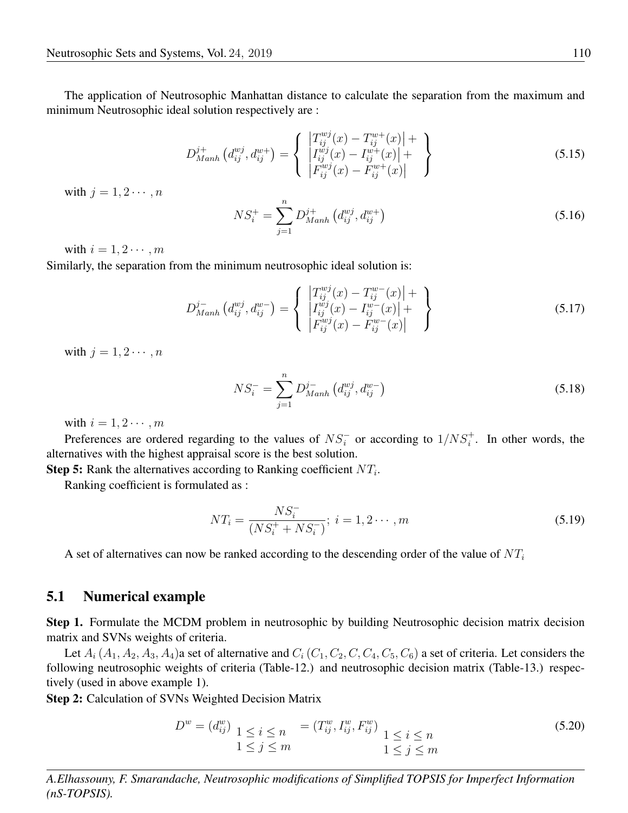The application of Neutrosophic Manhattan distance to calculate the separation from the maximum and minimum Neutrosophic ideal solution respectively are :

$$
D_{Manh}^{j+}\left(d_{ij}^{wj}, d_{ij}^{w+}\right) = \left\{ \begin{array}{l} \left| T_{ij}^{wj}(x) - T_{ij}^{w+}(x) \right| + \\ \left| T_{ij}^{wj}(x) - I_{ij}^{w+}(x) \right| + \\ \left| F_{ij}^{wy}(x) - F_{ij}^{w+}(x) \right| \end{array} \right\}
$$
(5.15)

with  $j = 1, 2 \cdots, n$ 

$$
NS_i^+ = \sum_{j=1}^n D_{Manh}^{j+} (d_{ij}^{wj}, d_{ij}^{w+})
$$
\n(5.16)

with  $i = 1, 2 \cdots, m$ 

Similarly, the separation from the minimum neutrosophic ideal solution is:

$$
D_{Manh}^{j-}\left(d_{ij}^{wj}, d_{ij}^{w-}\right) = \left\{ \begin{array}{l} \left| T_{ij}^{wj}(x) - T_{ij}^{w-}(x) \right| + \\ \left| T_{ij}^{wj}(x) - I_{ij}^{w-}(x) \right| + \\ \left| F_{ij}^{wj}(x) - F_{ij}^{w-}(x) \right| \end{array} \right\}
$$
(5.17)

with  $j = 1, 2 \cdots, n$ 

$$
NS_i^- = \sum_{j=1}^n D_{Manh}^{j-} (d_{ij}^{wj}, d_{ij}^{w-})
$$
\n(5.18)

with  $i = 1, 2 \cdots, m$ 

Preferences are ordered regarding to the values of  $NS_i^-$  or according to  $1/NS_i^+$ . In other words, the alternatives with the highest appraisal score is the best solution.

**Step 5:** Rank the alternatives according to Ranking coefficient  $NT_i$ .

Ranking coefficient is formulated as :

$$
NT_i = \frac{NS_i^-}{(NS_i^+ + NS_i^-)}; \ i = 1, 2 \cdots, m
$$
\n(5.19)

A set of alternatives can now be ranked according to the descending order of the value of  $NT_i$ 

#### 5.1 Numerical example

Step 1. Formulate the MCDM problem in neutrosophic by building Neutrosophic decision matrix decision matrix and SVNs weights of criteria.

Let  $A_i$  ( $A_1$ ,  $A_2$ ,  $A_3$ ,  $A_4$ )a set of alternative and  $C_i$  ( $C_1$ ,  $C_2$ ,  $C$ ,  $C_4$ ,  $C_5$ ,  $C_6$ ) a set of criteria. Let considers the following neutrosophic weights of criteria (Table-12.) and neutrosophic decision matrix (Table-13.) respectively (used in above example 1).

Step 2: Calculation of SVNs Weighted Decision Matrix

$$
D^{w} = (d_{ij}^{w}) \underbrace{1 \leq i \leq n}_{1 \leq j \leq m} = (T_{ij}^{w}, I_{ij}^{w}, F_{ij}^{w}) \underbrace{1 \leq i \leq n}_{1 \leq j \leq m}
$$
\n(5.20)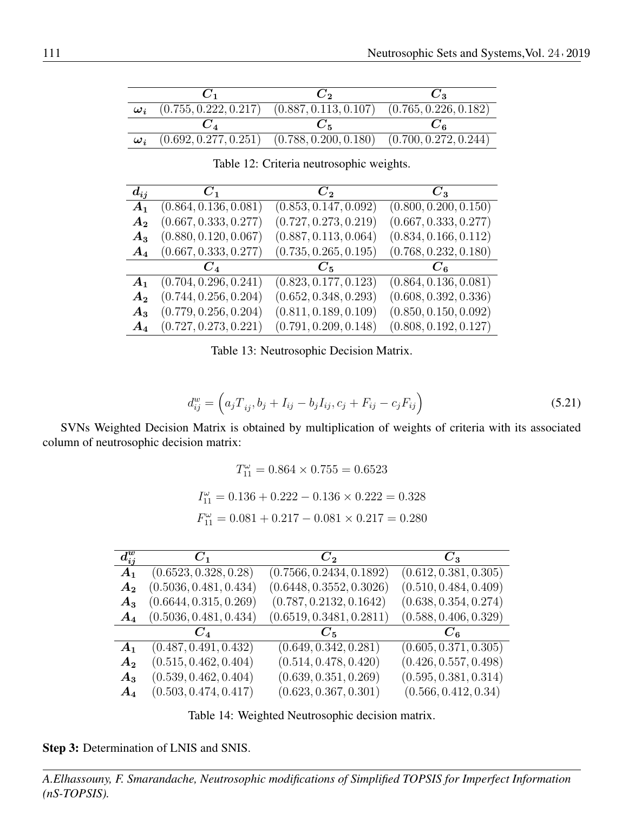|            | じっ                                                                      |  |
|------------|-------------------------------------------------------------------------|--|
| $\omega_i$ | $(0.755, 0.222, 0.217)$ $(0.887, 0.113, 0.107)$ $(0.765, 0.226, 0.182)$ |  |
|            |                                                                         |  |
| $\omega_i$ | $(0.692, 0.277, 0.251)$ $(0.788, 0.200, 0.180)$ $(0.700, 0.272, 0.244)$ |  |

| $d_{ij}$           | $C_1$                 | $C_{2}$               | $C_{3}$               |
|--------------------|-----------------------|-----------------------|-----------------------|
| A <sub>1</sub>     | (0.864, 0.136, 0.081) | (0.853, 0.147, 0.092) | (0.800, 0.200, 0.150) |
| $A_2$              | (0.667, 0.333, 0.277) | (0.727, 0.273, 0.219) | (0.667, 0.333, 0.277) |
| $A_3$              | (0.880, 0.120, 0.067) | (0.887, 0.113, 0.064) | (0.834, 0.166, 0.112) |
| $A_4$              | (0.667, 0.333, 0.277) | (0.735, 0.265, 0.195) | (0.768, 0.232, 0.180) |
|                    | $C_{4}$               | $C_{\rm 5}$           |                       |
| $A_1$              | (0.704, 0.296, 0.241) | (0.823, 0.177, 0.123) | (0.864, 0.136, 0.081) |
| A <sub>2</sub>     | (0.744, 0.256, 0.204) | (0.652, 0.348, 0.293) | (0.608, 0.392, 0.336) |
| $A_3$              | (0.779, 0.256, 0.204) | (0.811, 0.189, 0.109) | (0.850, 0.150, 0.092) |
| $\boldsymbol{A_4}$ | (0.727, 0.273, 0.221) | (0.791, 0.209, 0.148) | (0.808, 0.192, 0.127) |

Table 12: Criteria neutrosophic weights.

Table 13: Neutrosophic Decision Matrix.

$$
d_{ij}^{w} = (a_j T_{ij}, b_j + I_{ij} - b_j I_{ij}, c_j + F_{ij} - c_j F_{ij})
$$
\n(5.21)

SVNs Weighted Decision Matrix is obtained by multiplication of weights of criteria with its associated column of neutrosophic decision matrix:

$$
T_{11}^{\omega} = 0.864 \times 0.755 = 0.6523
$$
  

$$
I_{11}^{\omega} = 0.136 + 0.222 - 0.136 \times 0.222 = 0.328
$$
  

$$
F_{11}^{\omega} = 0.081 + 0.217 - 0.081 \times 0.217 = 0.280
$$

| $d_{ij}^w$         | $C_1$                  | $C_2$                    | $C_3$                 |
|--------------------|------------------------|--------------------------|-----------------------|
| A <sub>1</sub>     | (0.6523, 0.328, 0.28)  | (0.7566, 0.2434, 0.1892) | (0.612, 0.381, 0.305) |
| A <sub>2</sub>     | (0.5036, 0.481, 0.434) | (0.6448, 0.3552, 0.3026) | (0.510, 0.484, 0.409) |
| $A_3$              | (0.6644, 0.315, 0.269) | (0.787, 0.2132, 0.1642)  | (0.638, 0.354, 0.274) |
| $A_4$              | (0.5036, 0.481, 0.434) | (0.6519, 0.3481, 0.2811) | (0.588, 0.406, 0.329) |
|                    |                        | $C_{\rm B}$              |                       |
| $A_1$              | (0.487, 0.491, 0.432)  | (0.649, 0.342, 0.281)    | (0.605, 0.371, 0.305) |
| $A_{2}$            | (0.515, 0.462, 0.404)  | (0.514, 0.478, 0.420)    | (0.426, 0.557, 0.498) |
| $A_3$              | (0.539, 0.462, 0.404)  | (0.639, 0.351, 0.269)    | (0.595, 0.381, 0.314) |
| $\boldsymbol{A_4}$ | (0.503, 0.474, 0.417)  | (0.623, 0.367, 0.301)    | (0.566, 0.412, 0.34)  |

Table 14: Weighted Neutrosophic decision matrix.

Step 3: Determination of LNIS and SNIS.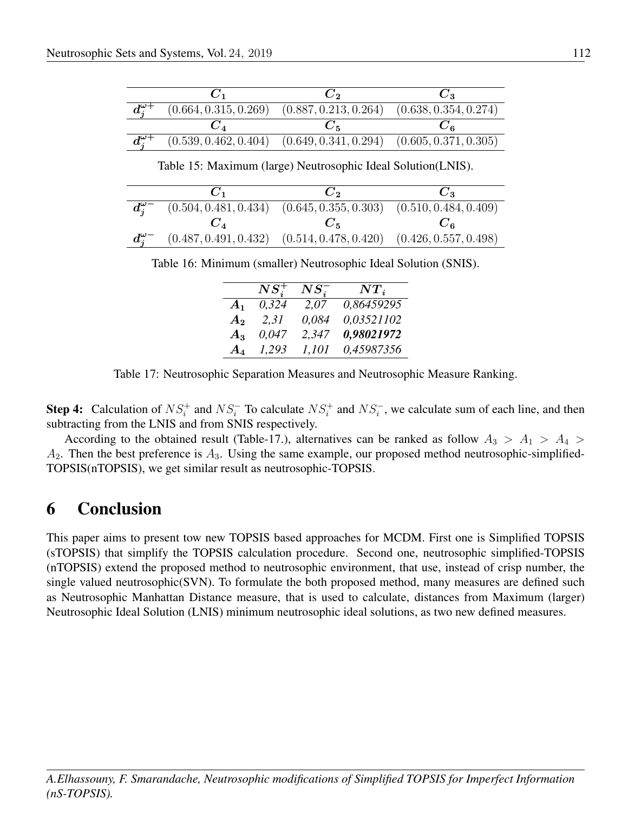|                   |                                                                         | じっ |
|-------------------|-------------------------------------------------------------------------|----|
| $d_{i}^{\omega+}$ | $(0.664, 0.315, 0.269)$ $(0.887, 0.213, 0.264)$ $(0.638, 0.354, 0.274)$ |    |
|                   |                                                                         |    |
| $d_i^{\omega+}$   | $(0.539, 0.462, 0.404)$ $(0.649, 0.341, 0.294)$ $(0.605, 0.371, 0.305)$ |    |

Table 15: Maximum (large) Neutrosophic Ideal Solution(LNIS).

|                  | $C_1$ | $\mathbf{C}_{2}$                                                                    | U <sub>2</sub>   |
|------------------|-------|-------------------------------------------------------------------------------------|------------------|
|                  |       | $d_{i}^{\omega-}$ (0.504, 0.481, 0.434) (0.645, 0.355, 0.303) (0.510, 0.484, 0.409) |                  |
|                  | $C_A$ |                                                                                     | $U_{\mathbf{g}}$ |
| $d_i^{\omega -}$ |       | $(0.487, 0.491, 0.432)$ $(0.514, 0.478, 0.420)$ $(0.426, 0.557, 0.498)$             |                  |

Table 16: Minimum (smaller) Neutrosophic Ideal Solution (SNIS).

|                    | $NS_i^+$ | $NS_i^-$ | $NT_i$     |
|--------------------|----------|----------|------------|
| $A_1$              | 0,324    | 2.07     | 0,86459295 |
| $\boldsymbol{A_2}$ | 2,31     | 0,084    | 0,03521102 |
| $A_3$              | 0,047    | 2,347    | 0,98021972 |
| $A_{4}$            | 1.293    | 1,101    | 0,45987356 |

Table 17: Neutrosophic Separation Measures and Neutrosophic Measure Ranking.

Step 4: Calculation of  $NS_i^+$  and  $NS_i^-$  To calculate  $NS_i^+$  and  $NS_i^-$ , we calculate sum of each line, and then subtracting from the LNIS and from SNIS respectively.

According to the obtained result (Table-17.), alternatives can be ranked as follow  $A_3 > A_1 > A_4 > A_2$  $A_2$ . Then the best preference is  $A_3$ . Using the same example, our proposed method neutrosophic-simplified-TOPSIS(nTOPSIS), we get similar result as neutrosophic-TOPSIS.

## 6 Conclusion

This paper aims to present tow new TOPSIS based approaches for MCDM. First one is Simplified TOPSIS (sTOPSIS) that simplify the TOPSIS calculation procedure. Second one, neutrosophic simplified-TOPSIS (nTOPSIS) extend the proposed method to neutrosophic environment, that use, instead of crisp number, the single valued neutrosophic(SVN). To formulate the both proposed method, many measures are defined such as Neutrosophic Manhattan Distance measure, that is used to calculate, distances from Maximum (larger) Neutrosophic Ideal Solution (LNIS) minimum neutrosophic ideal solutions, as two new defined measures.